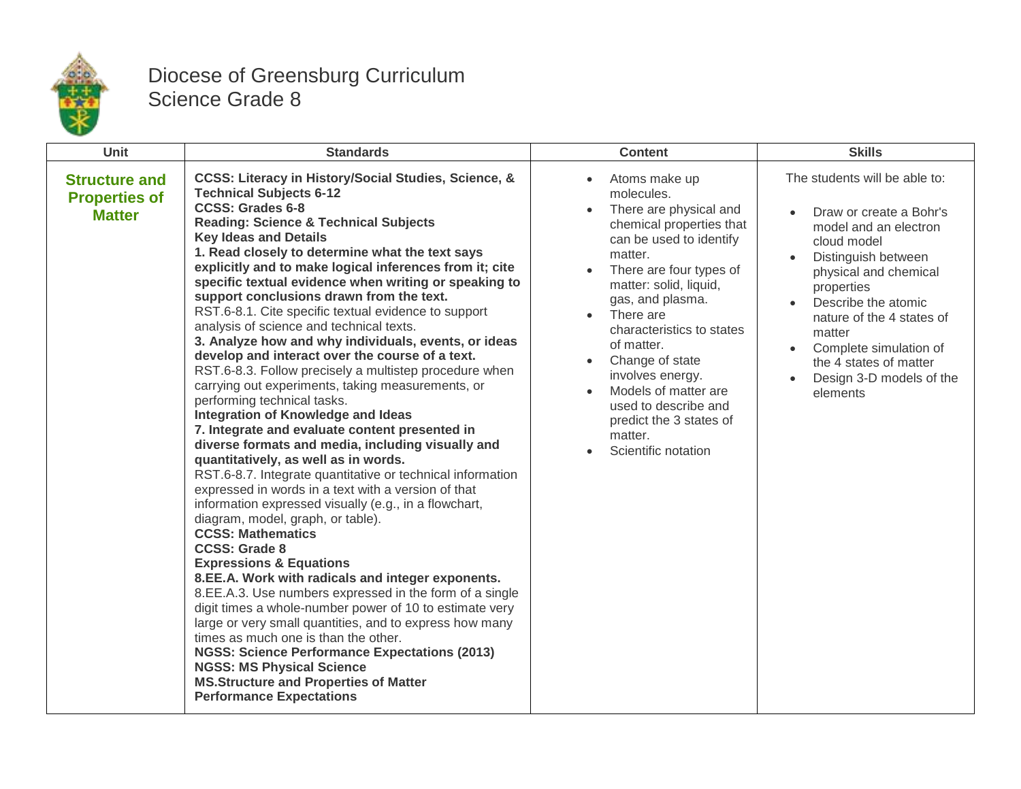

## Diocese of Greensburg Curriculum Science Grade 8

| <b>Unit</b>                                                   | <b>Standards</b>                                                                                                                                                                                                                                                                                                                                                                                                                                                                                                                                                                                                                                                                                                                                                                                                                                                                                                                                                                                                                                                                                                                                                                                                                                                                                                                                                                                                                                                                                                                                                                                                                                                                                                                                                       | <b>Content</b>                                                                                                                                                                                                                                                                                                                                                                                                                                      | <b>Skills</b>                                                                                                                                                                                                                                                                                                            |
|---------------------------------------------------------------|------------------------------------------------------------------------------------------------------------------------------------------------------------------------------------------------------------------------------------------------------------------------------------------------------------------------------------------------------------------------------------------------------------------------------------------------------------------------------------------------------------------------------------------------------------------------------------------------------------------------------------------------------------------------------------------------------------------------------------------------------------------------------------------------------------------------------------------------------------------------------------------------------------------------------------------------------------------------------------------------------------------------------------------------------------------------------------------------------------------------------------------------------------------------------------------------------------------------------------------------------------------------------------------------------------------------------------------------------------------------------------------------------------------------------------------------------------------------------------------------------------------------------------------------------------------------------------------------------------------------------------------------------------------------------------------------------------------------------------------------------------------------|-----------------------------------------------------------------------------------------------------------------------------------------------------------------------------------------------------------------------------------------------------------------------------------------------------------------------------------------------------------------------------------------------------------------------------------------------------|--------------------------------------------------------------------------------------------------------------------------------------------------------------------------------------------------------------------------------------------------------------------------------------------------------------------------|
| <b>Structure and</b><br><b>Properties of</b><br><b>Matter</b> | <b>CCSS: Literacy in History/Social Studies, Science, &amp;</b><br><b>Technical Subjects 6-12</b><br><b>CCSS: Grades 6-8</b><br><b>Reading: Science &amp; Technical Subjects</b><br><b>Key Ideas and Details</b><br>1. Read closely to determine what the text says<br>explicitly and to make logical inferences from it; cite<br>specific textual evidence when writing or speaking to<br>support conclusions drawn from the text.<br>RST.6-8.1. Cite specific textual evidence to support<br>analysis of science and technical texts.<br>3. Analyze how and why individuals, events, or ideas<br>develop and interact over the course of a text.<br>RST.6-8.3. Follow precisely a multistep procedure when<br>carrying out experiments, taking measurements, or<br>performing technical tasks.<br><b>Integration of Knowledge and Ideas</b><br>7. Integrate and evaluate content presented in<br>diverse formats and media, including visually and<br>quantitatively, as well as in words.<br>RST.6-8.7. Integrate quantitative or technical information<br>expressed in words in a text with a version of that<br>information expressed visually (e.g., in a flowchart,<br>diagram, model, graph, or table).<br><b>CCSS: Mathematics</b><br><b>CCSS: Grade 8</b><br><b>Expressions &amp; Equations</b><br>8.EE.A. Work with radicals and integer exponents.<br>8.EE.A.3. Use numbers expressed in the form of a single<br>digit times a whole-number power of 10 to estimate very<br>large or very small quantities, and to express how many<br>times as much one is than the other.<br><b>NGSS: Science Performance Expectations (2013)</b><br><b>NGSS: MS Physical Science</b><br><b>MS.Structure and Properties of Matter</b><br><b>Performance Expectations</b> | Atoms make up<br>$\bullet$<br>molecules.<br>There are physical and<br>chemical properties that<br>can be used to identify<br>matter.<br>There are four types of<br>matter: solid, liquid,<br>gas, and plasma.<br>There are<br>characteristics to states<br>of matter.<br>Change of state<br>$\bullet$<br>involves energy.<br>Models of matter are<br>$\bullet$<br>used to describe and<br>predict the 3 states of<br>matter.<br>Scientific notation | The students will be able to:<br>Draw or create a Bohr's<br>model and an electron<br>cloud model<br>Distinguish between<br>physical and chemical<br>properties<br>Describe the atomic<br>nature of the 4 states of<br>matter<br>Complete simulation of<br>the 4 states of matter<br>Design 3-D models of the<br>elements |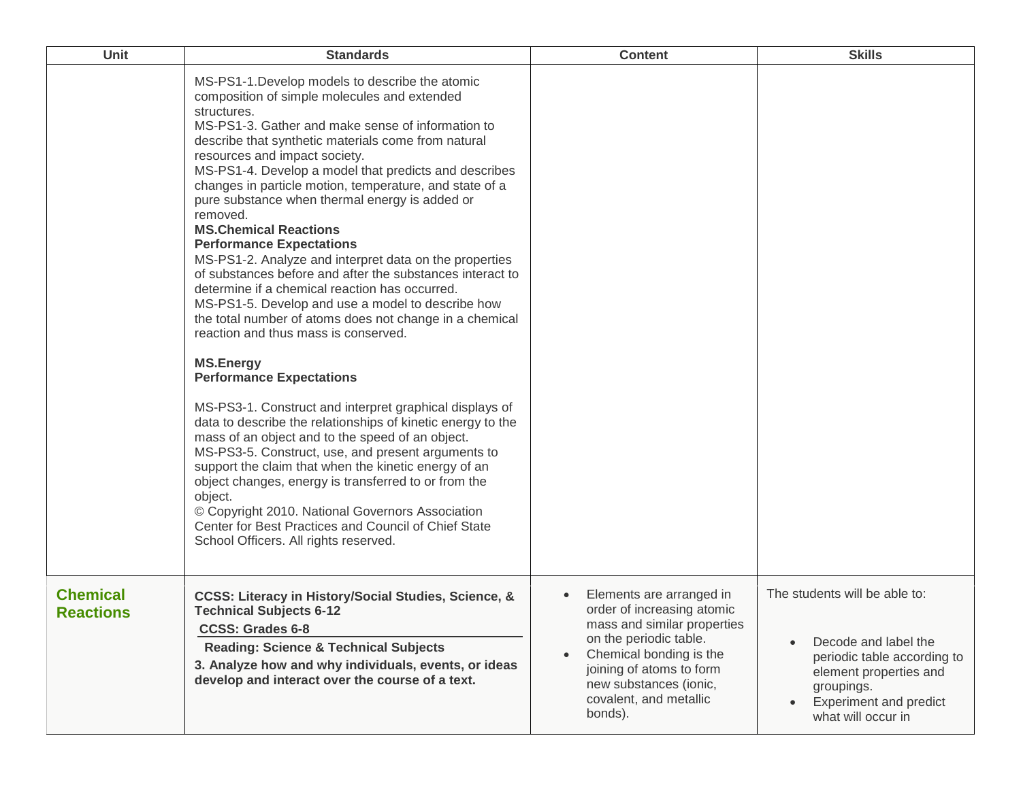| Unit                                | <b>Standards</b>                                                                                                                                                                                                                                                                                                                                                                                                                                                                                                                                                                                                                                                                                                                                                                                                                                                                                                                                                                                                                                                                                                                                                                                                                                                                                                                                                                                                             | <b>Content</b>                                                                                                                                                                                                                        | <b>Skills</b>                                                                                                                                                                       |
|-------------------------------------|------------------------------------------------------------------------------------------------------------------------------------------------------------------------------------------------------------------------------------------------------------------------------------------------------------------------------------------------------------------------------------------------------------------------------------------------------------------------------------------------------------------------------------------------------------------------------------------------------------------------------------------------------------------------------------------------------------------------------------------------------------------------------------------------------------------------------------------------------------------------------------------------------------------------------------------------------------------------------------------------------------------------------------------------------------------------------------------------------------------------------------------------------------------------------------------------------------------------------------------------------------------------------------------------------------------------------------------------------------------------------------------------------------------------------|---------------------------------------------------------------------------------------------------------------------------------------------------------------------------------------------------------------------------------------|-------------------------------------------------------------------------------------------------------------------------------------------------------------------------------------|
|                                     | MS-PS1-1. Develop models to describe the atomic<br>composition of simple molecules and extended<br>structures.<br>MS-PS1-3. Gather and make sense of information to<br>describe that synthetic materials come from natural<br>resources and impact society.<br>MS-PS1-4. Develop a model that predicts and describes<br>changes in particle motion, temperature, and state of a<br>pure substance when thermal energy is added or<br>removed.<br><b>MS.Chemical Reactions</b><br><b>Performance Expectations</b><br>MS-PS1-2. Analyze and interpret data on the properties<br>of substances before and after the substances interact to<br>determine if a chemical reaction has occurred.<br>MS-PS1-5. Develop and use a model to describe how<br>the total number of atoms does not change in a chemical<br>reaction and thus mass is conserved.<br><b>MS.Energy</b><br><b>Performance Expectations</b><br>MS-PS3-1. Construct and interpret graphical displays of<br>data to describe the relationships of kinetic energy to the<br>mass of an object and to the speed of an object.<br>MS-PS3-5. Construct, use, and present arguments to<br>support the claim that when the kinetic energy of an<br>object changes, energy is transferred to or from the<br>object.<br>© Copyright 2010. National Governors Association<br>Center for Best Practices and Council of Chief State<br>School Officers. All rights reserved. |                                                                                                                                                                                                                                       |                                                                                                                                                                                     |
| <b>Chemical</b><br><b>Reactions</b> | CCSS: Literacy in History/Social Studies, Science, &<br><b>Technical Subjects 6-12</b><br><b>CCSS: Grades 6-8</b><br><b>Reading: Science &amp; Technical Subjects</b><br>3. Analyze how and why individuals, events, or ideas<br>develop and interact over the course of a text.                                                                                                                                                                                                                                                                                                                                                                                                                                                                                                                                                                                                                                                                                                                                                                                                                                                                                                                                                                                                                                                                                                                                             | Elements are arranged in<br>order of increasing atomic<br>mass and similar properties<br>on the periodic table.<br>Chemical bonding is the<br>joining of atoms to form<br>new substances (ionic,<br>covalent, and metallic<br>bonds). | The students will be able to:<br>Decode and label the<br>periodic table according to<br>element properties and<br>groupings.<br><b>Experiment and predict</b><br>what will occur in |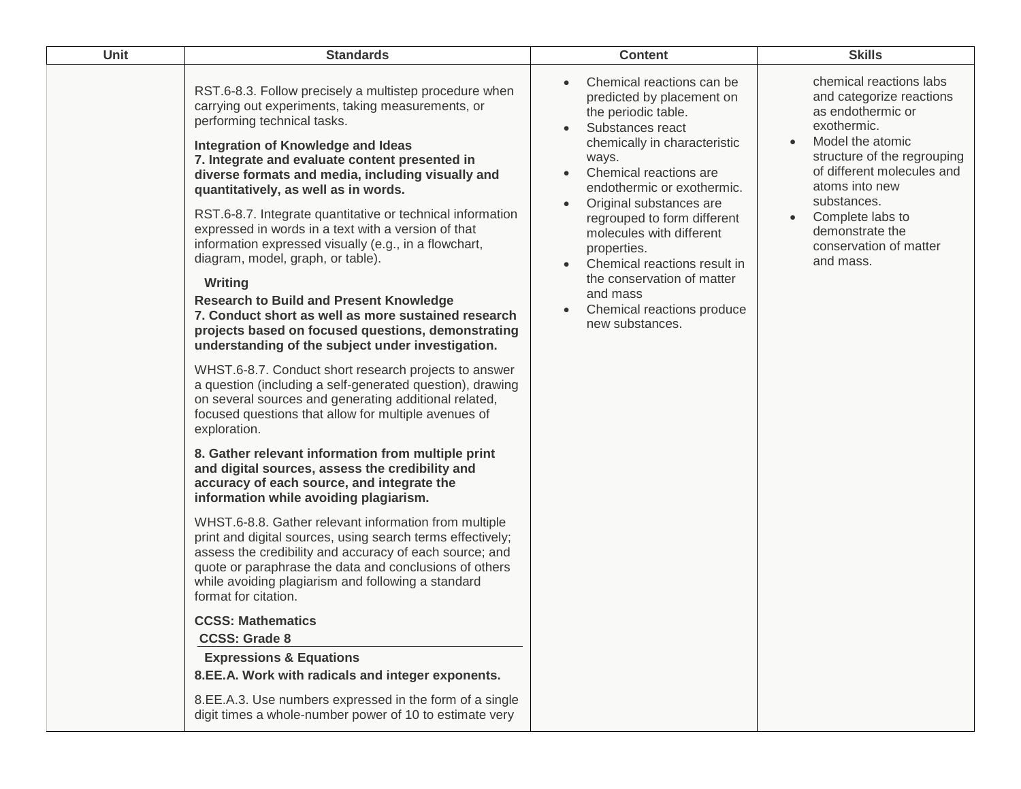| <b>Unit</b> | <b>Standards</b>                                                                                                                                                                                                                                                                                                                                                                                                                                                                                                                                                                                                                                                                                                                                                                                                                                                                                                                                                 | <b>Content</b>                                                                                                                                                                                                                                                                                                                                                                                                                     | <b>Skills</b>                                                                                                                                                                                                                                                                                                     |
|-------------|------------------------------------------------------------------------------------------------------------------------------------------------------------------------------------------------------------------------------------------------------------------------------------------------------------------------------------------------------------------------------------------------------------------------------------------------------------------------------------------------------------------------------------------------------------------------------------------------------------------------------------------------------------------------------------------------------------------------------------------------------------------------------------------------------------------------------------------------------------------------------------------------------------------------------------------------------------------|------------------------------------------------------------------------------------------------------------------------------------------------------------------------------------------------------------------------------------------------------------------------------------------------------------------------------------------------------------------------------------------------------------------------------------|-------------------------------------------------------------------------------------------------------------------------------------------------------------------------------------------------------------------------------------------------------------------------------------------------------------------|
|             | RST.6-8.3. Follow precisely a multistep procedure when<br>carrying out experiments, taking measurements, or<br>performing technical tasks.<br>Integration of Knowledge and Ideas<br>7. Integrate and evaluate content presented in<br>diverse formats and media, including visually and<br>quantitatively, as well as in words.<br>RST.6-8.7. Integrate quantitative or technical information<br>expressed in words in a text with a version of that<br>information expressed visually (e.g., in a flowchart,<br>diagram, model, graph, or table).<br>Writing<br><b>Research to Build and Present Knowledge</b><br>7. Conduct short as well as more sustained research<br>projects based on focused questions, demonstrating<br>understanding of the subject under investigation.<br>WHST.6-8.7. Conduct short research projects to answer<br>a question (including a self-generated question), drawing<br>on several sources and generating additional related, | Chemical reactions can be<br>predicted by placement on<br>the periodic table.<br>Substances react<br>chemically in characteristic<br>ways.<br>Chemical reactions are<br>endothermic or exothermic.<br>Original substances are<br>regrouped to form different<br>molecules with different<br>properties.<br>Chemical reactions result in<br>the conservation of matter<br>and mass<br>Chemical reactions produce<br>new substances. | chemical reactions labs<br>and categorize reactions<br>as endothermic or<br>exothermic.<br>Model the atomic<br>$\bullet$<br>structure of the regrouping<br>of different molecules and<br>atoms into new<br>substances.<br>Complete labs to<br>$\bullet$<br>demonstrate the<br>conservation of matter<br>and mass. |
|             | focused questions that allow for multiple avenues of<br>exploration.<br>8. Gather relevant information from multiple print<br>and digital sources, assess the credibility and                                                                                                                                                                                                                                                                                                                                                                                                                                                                                                                                                                                                                                                                                                                                                                                    |                                                                                                                                                                                                                                                                                                                                                                                                                                    |                                                                                                                                                                                                                                                                                                                   |
|             | accuracy of each source, and integrate the<br>information while avoiding plagiarism.                                                                                                                                                                                                                                                                                                                                                                                                                                                                                                                                                                                                                                                                                                                                                                                                                                                                             |                                                                                                                                                                                                                                                                                                                                                                                                                                    |                                                                                                                                                                                                                                                                                                                   |
|             | WHST.6-8.8. Gather relevant information from multiple<br>print and digital sources, using search terms effectively;<br>assess the credibility and accuracy of each source; and<br>quote or paraphrase the data and conclusions of others<br>while avoiding plagiarism and following a standard<br>format for citation.                                                                                                                                                                                                                                                                                                                                                                                                                                                                                                                                                                                                                                           |                                                                                                                                                                                                                                                                                                                                                                                                                                    |                                                                                                                                                                                                                                                                                                                   |
|             | <b>CCSS: Mathematics</b>                                                                                                                                                                                                                                                                                                                                                                                                                                                                                                                                                                                                                                                                                                                                                                                                                                                                                                                                         |                                                                                                                                                                                                                                                                                                                                                                                                                                    |                                                                                                                                                                                                                                                                                                                   |
|             | <b>CCSS: Grade 8</b>                                                                                                                                                                                                                                                                                                                                                                                                                                                                                                                                                                                                                                                                                                                                                                                                                                                                                                                                             |                                                                                                                                                                                                                                                                                                                                                                                                                                    |                                                                                                                                                                                                                                                                                                                   |
|             | <b>Expressions &amp; Equations</b>                                                                                                                                                                                                                                                                                                                                                                                                                                                                                                                                                                                                                                                                                                                                                                                                                                                                                                                               |                                                                                                                                                                                                                                                                                                                                                                                                                                    |                                                                                                                                                                                                                                                                                                                   |
|             | 8.EE.A. Work with radicals and integer exponents.                                                                                                                                                                                                                                                                                                                                                                                                                                                                                                                                                                                                                                                                                                                                                                                                                                                                                                                |                                                                                                                                                                                                                                                                                                                                                                                                                                    |                                                                                                                                                                                                                                                                                                                   |
|             | 8.EE.A.3. Use numbers expressed in the form of a single<br>digit times a whole-number power of 10 to estimate very                                                                                                                                                                                                                                                                                                                                                                                                                                                                                                                                                                                                                                                                                                                                                                                                                                               |                                                                                                                                                                                                                                                                                                                                                                                                                                    |                                                                                                                                                                                                                                                                                                                   |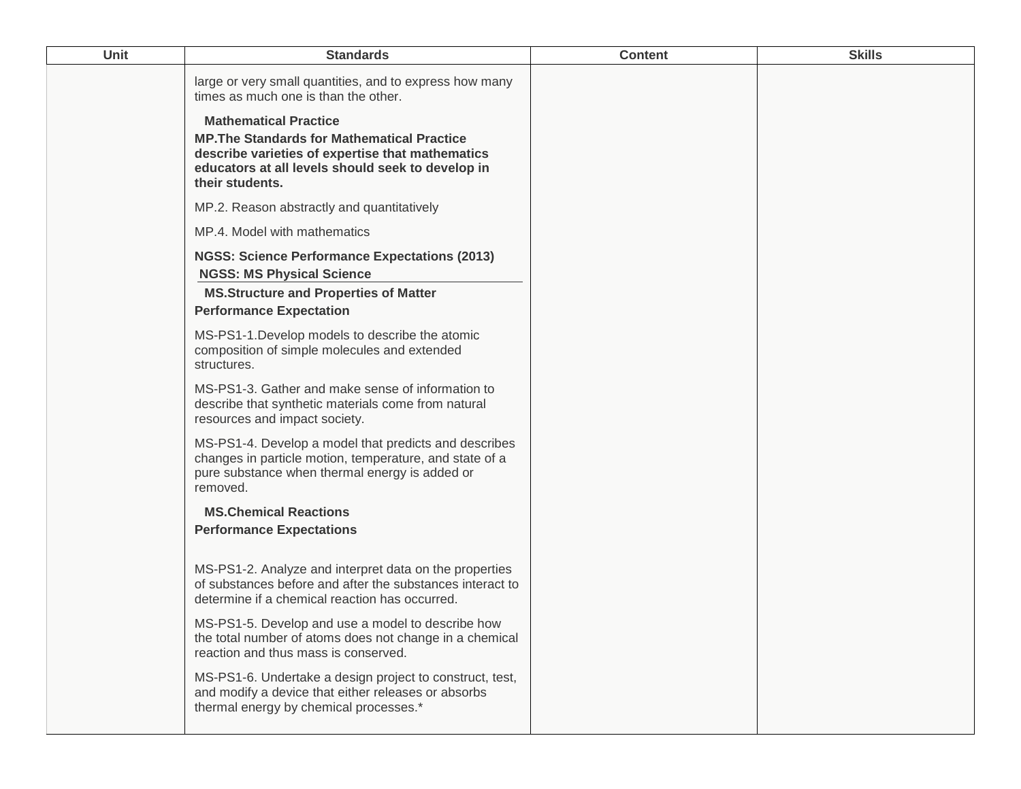| Unit | <b>Standards</b>                                                                                                                                                                                               | <b>Content</b> | <b>Skills</b> |
|------|----------------------------------------------------------------------------------------------------------------------------------------------------------------------------------------------------------------|----------------|---------------|
|      | large or very small quantities, and to express how many<br>times as much one is than the other.                                                                                                                |                |               |
|      | <b>Mathematical Practice</b><br><b>MP. The Standards for Mathematical Practice</b><br>describe varieties of expertise that mathematics<br>educators at all levels should seek to develop in<br>their students. |                |               |
|      | MP.2. Reason abstractly and quantitatively                                                                                                                                                                     |                |               |
|      | MP.4. Model with mathematics                                                                                                                                                                                   |                |               |
|      | <b>NGSS: Science Performance Expectations (2013)</b><br><b>NGSS: MS Physical Science</b><br><b>MS.Structure and Properties of Matter</b>                                                                       |                |               |
|      | <b>Performance Expectation</b>                                                                                                                                                                                 |                |               |
|      | MS-PS1-1. Develop models to describe the atomic<br>composition of simple molecules and extended<br>structures.                                                                                                 |                |               |
|      | MS-PS1-3. Gather and make sense of information to<br>describe that synthetic materials come from natural<br>resources and impact society.                                                                      |                |               |
|      | MS-PS1-4. Develop a model that predicts and describes<br>changes in particle motion, temperature, and state of a<br>pure substance when thermal energy is added or<br>removed.                                 |                |               |
|      | <b>MS.Chemical Reactions</b><br><b>Performance Expectations</b>                                                                                                                                                |                |               |
|      | MS-PS1-2. Analyze and interpret data on the properties<br>of substances before and after the substances interact to<br>determine if a chemical reaction has occurred.                                          |                |               |
|      | MS-PS1-5. Develop and use a model to describe how<br>the total number of atoms does not change in a chemical<br>reaction and thus mass is conserved.                                                           |                |               |
|      | MS-PS1-6. Undertake a design project to construct, test,<br>and modify a device that either releases or absorbs<br>thermal energy by chemical processes.*                                                      |                |               |
|      |                                                                                                                                                                                                                |                |               |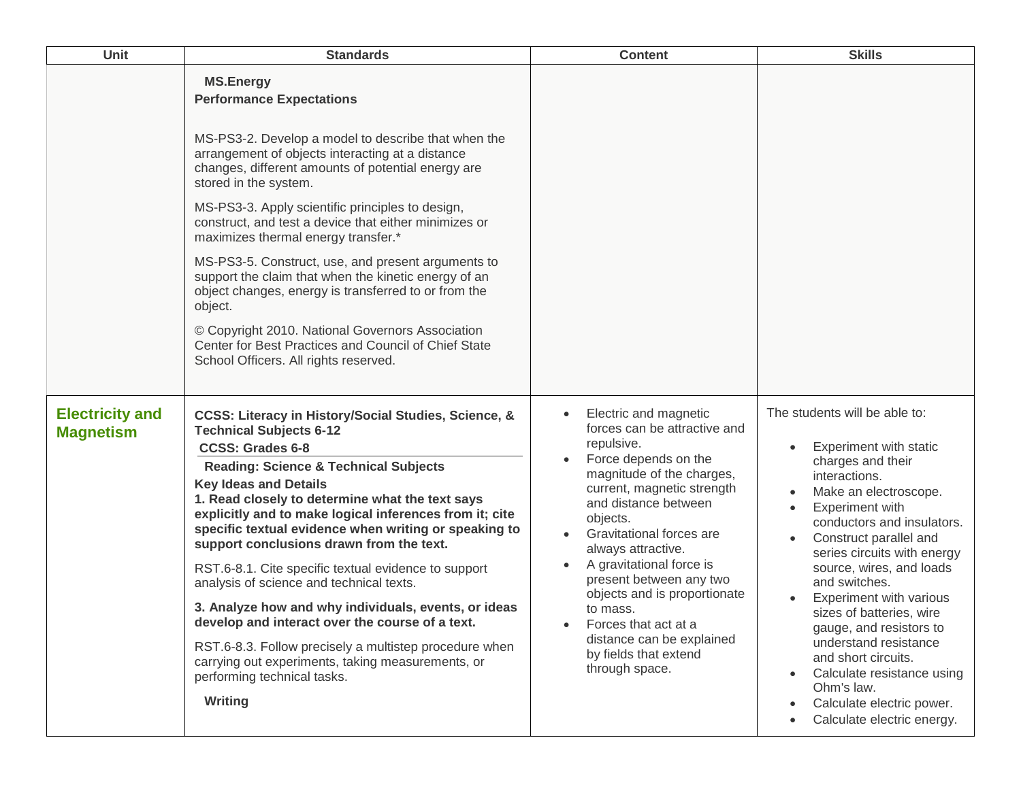| <b>Unit</b>                                | <b>Standards</b>                                                                                                                                                                                                                                                                                                                                                                                                                                                                                                                                                                                                                                                                                                                                                                                 | <b>Content</b>                                                                                                                                                                                                                                                                                                                                                                                                                                  | <b>Skills</b>                                                                                                                                                                                                                                                                                                                                                                                                                                                                                                                 |
|--------------------------------------------|--------------------------------------------------------------------------------------------------------------------------------------------------------------------------------------------------------------------------------------------------------------------------------------------------------------------------------------------------------------------------------------------------------------------------------------------------------------------------------------------------------------------------------------------------------------------------------------------------------------------------------------------------------------------------------------------------------------------------------------------------------------------------------------------------|-------------------------------------------------------------------------------------------------------------------------------------------------------------------------------------------------------------------------------------------------------------------------------------------------------------------------------------------------------------------------------------------------------------------------------------------------|-------------------------------------------------------------------------------------------------------------------------------------------------------------------------------------------------------------------------------------------------------------------------------------------------------------------------------------------------------------------------------------------------------------------------------------------------------------------------------------------------------------------------------|
|                                            | <b>MS.Energy</b><br><b>Performance Expectations</b><br>MS-PS3-2. Develop a model to describe that when the<br>arrangement of objects interacting at a distance<br>changes, different amounts of potential energy are<br>stored in the system.<br>MS-PS3-3. Apply scientific principles to design,<br>construct, and test a device that either minimizes or<br>maximizes thermal energy transfer.*<br>MS-PS3-5. Construct, use, and present arguments to<br>support the claim that when the kinetic energy of an<br>object changes, energy is transferred to or from the<br>object.<br>© Copyright 2010. National Governors Association<br>Center for Best Practices and Council of Chief State<br>School Officers. All rights reserved.                                                          |                                                                                                                                                                                                                                                                                                                                                                                                                                                 |                                                                                                                                                                                                                                                                                                                                                                                                                                                                                                                               |
| <b>Electricity and</b><br><b>Magnetism</b> | CCSS: Literacy in History/Social Studies, Science, &<br><b>Technical Subjects 6-12</b><br><b>CCSS: Grades 6-8</b><br><b>Reading: Science &amp; Technical Subjects</b><br><b>Key Ideas and Details</b><br>1. Read closely to determine what the text says<br>explicitly and to make logical inferences from it; cite<br>specific textual evidence when writing or speaking to<br>support conclusions drawn from the text.<br>RST.6-8.1. Cite specific textual evidence to support<br>analysis of science and technical texts.<br>3. Analyze how and why individuals, events, or ideas<br>develop and interact over the course of a text.<br>RST.6-8.3. Follow precisely a multistep procedure when<br>carrying out experiments, taking measurements, or<br>performing technical tasks.<br>Writing | Electric and magnetic<br>forces can be attractive and<br>repulsive.<br>Force depends on the<br>magnitude of the charges,<br>current, magnetic strength<br>and distance between<br>objects.<br>Gravitational forces are<br>always attractive.<br>A gravitational force is<br>present between any two<br>objects and is proportionate<br>to mass.<br>Forces that act at a<br>distance can be explained<br>by fields that extend<br>through space. | The students will be able to:<br>Experiment with static<br>charges and their<br>interactions.<br>Make an electroscope.<br><b>Experiment with</b><br>conductors and insulators.<br>Construct parallel and<br>series circuits with energy<br>source, wires, and loads<br>and switches.<br>Experiment with various<br>sizes of batteries, wire<br>gauge, and resistors to<br>understand resistance<br>and short circuits.<br>Calculate resistance using<br>Ohm's law.<br>Calculate electric power.<br>Calculate electric energy. |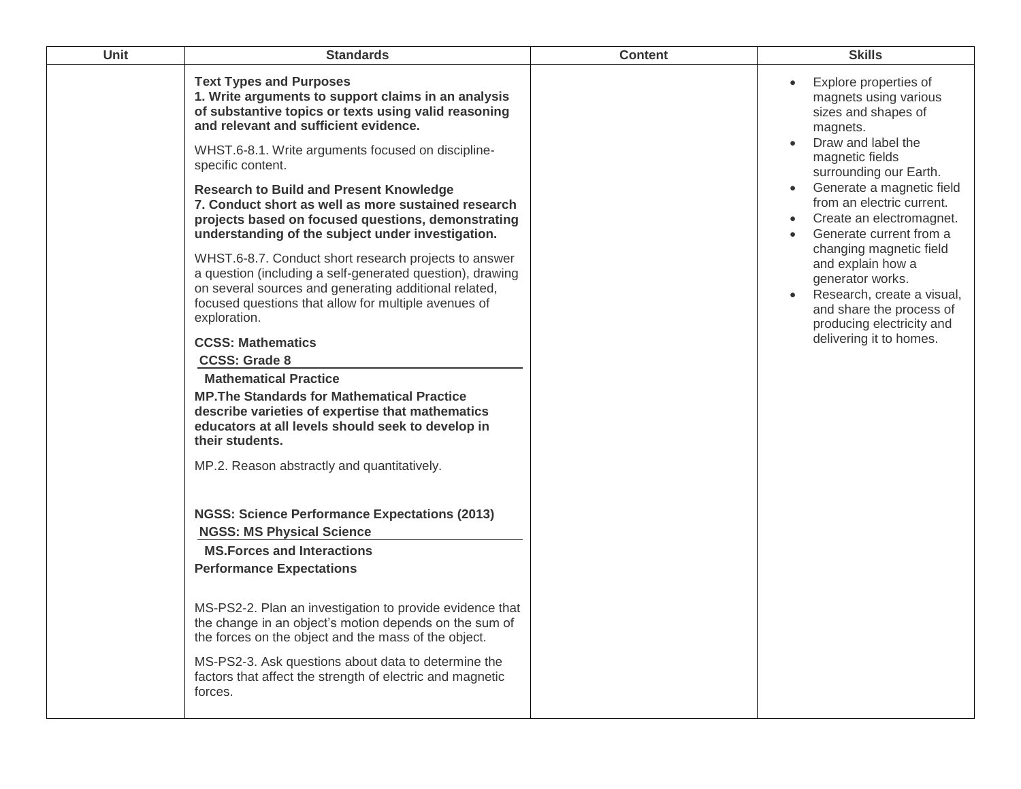| Unit | <b>Standards</b>                                                                                                                                                                                                                                                                                                                                                                                                                 | <b>Content</b> | <b>Skills</b>                                                                                                                                                                                                                              |
|------|----------------------------------------------------------------------------------------------------------------------------------------------------------------------------------------------------------------------------------------------------------------------------------------------------------------------------------------------------------------------------------------------------------------------------------|----------------|--------------------------------------------------------------------------------------------------------------------------------------------------------------------------------------------------------------------------------------------|
|      | <b>Text Types and Purposes</b><br>1. Write arguments to support claims in an analysis<br>of substantive topics or texts using valid reasoning<br>and relevant and sufficient evidence.<br>WHST.6-8.1. Write arguments focused on discipline-<br>specific content.<br><b>Research to Build and Present Knowledge</b><br>7. Conduct short as well as more sustained research<br>projects based on focused questions, demonstrating |                | Explore properties of<br>magnets using various<br>sizes and shapes of<br>magnets.<br>Draw and label the<br>magnetic fields<br>surrounding our Earth.<br>Generate a magnetic field<br>from an electric current.<br>Create an electromagnet. |
|      | understanding of the subject under investigation.<br>WHST.6-8.7. Conduct short research projects to answer<br>a question (including a self-generated question), drawing<br>on several sources and generating additional related,<br>focused questions that allow for multiple avenues of<br>exploration.<br><b>CCSS: Mathematics</b><br><b>CCSS: Grade 8</b>                                                                     |                | Generate current from a<br>changing magnetic field<br>and explain how a<br>generator works.<br>Research, create a visual,<br>and share the process of<br>producing electricity and<br>delivering it to homes.                              |
|      | <b>Mathematical Practice</b><br><b>MP. The Standards for Mathematical Practice</b><br>describe varieties of expertise that mathematics<br>educators at all levels should seek to develop in<br>their students.<br>MP.2. Reason abstractly and quantitatively.                                                                                                                                                                    |                |                                                                                                                                                                                                                                            |
|      | <b>NGSS: Science Performance Expectations (2013)</b><br><b>NGSS: MS Physical Science</b><br><b>MS. Forces and Interactions</b><br><b>Performance Expectations</b><br>MS-PS2-2. Plan an investigation to provide evidence that                                                                                                                                                                                                    |                |                                                                                                                                                                                                                                            |
|      | the change in an object's motion depends on the sum of<br>the forces on the object and the mass of the object.<br>MS-PS2-3. Ask questions about data to determine the<br>factors that affect the strength of electric and magnetic<br>forces.                                                                                                                                                                                    |                |                                                                                                                                                                                                                                            |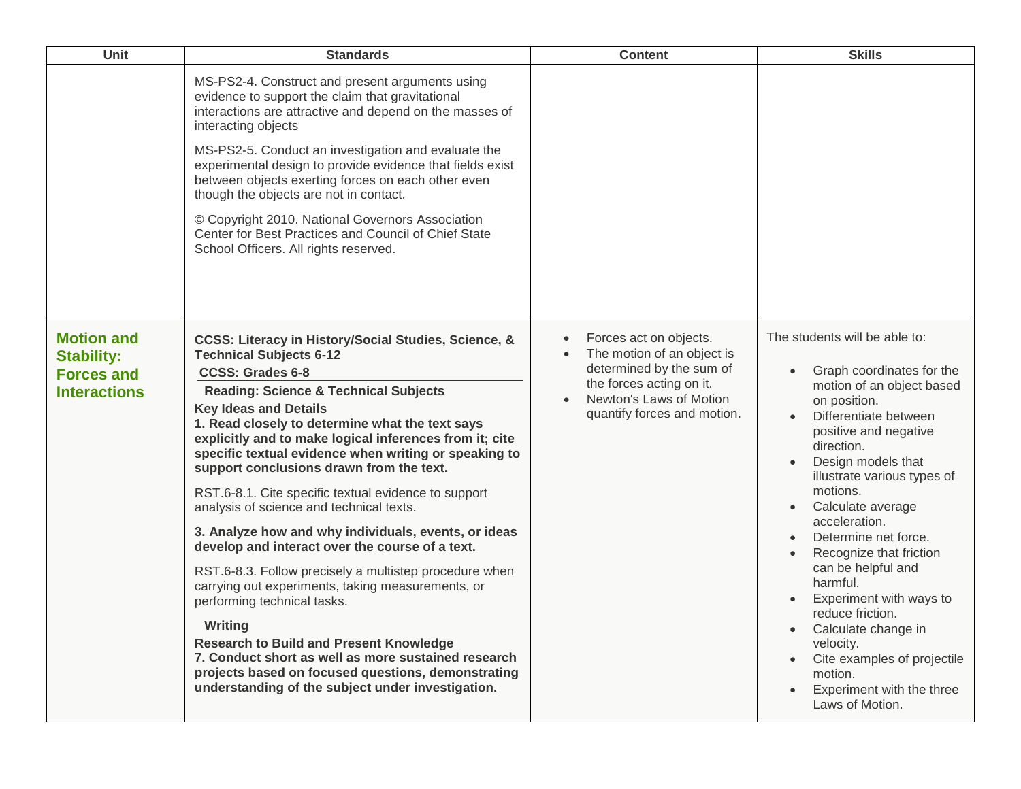| <b>Unit</b>                                                                        | <b>Standards</b>                                                                                                                                                                                                                                                                                                                                                                                                                                                                                                                                                                                                                                                                                                                                                                                                                                                                                                                                                                                                     | <b>Content</b>                                                                                                                                                                      | <b>Skills</b>                                                                                                                                                                                                                                                                                                                                                                                                                                                                                                                                    |
|------------------------------------------------------------------------------------|----------------------------------------------------------------------------------------------------------------------------------------------------------------------------------------------------------------------------------------------------------------------------------------------------------------------------------------------------------------------------------------------------------------------------------------------------------------------------------------------------------------------------------------------------------------------------------------------------------------------------------------------------------------------------------------------------------------------------------------------------------------------------------------------------------------------------------------------------------------------------------------------------------------------------------------------------------------------------------------------------------------------|-------------------------------------------------------------------------------------------------------------------------------------------------------------------------------------|--------------------------------------------------------------------------------------------------------------------------------------------------------------------------------------------------------------------------------------------------------------------------------------------------------------------------------------------------------------------------------------------------------------------------------------------------------------------------------------------------------------------------------------------------|
|                                                                                    | MS-PS2-4. Construct and present arguments using<br>evidence to support the claim that gravitational<br>interactions are attractive and depend on the masses of<br>interacting objects<br>MS-PS2-5. Conduct an investigation and evaluate the<br>experimental design to provide evidence that fields exist<br>between objects exerting forces on each other even<br>though the objects are not in contact.<br>© Copyright 2010. National Governors Association<br>Center for Best Practices and Council of Chief State<br>School Officers. All rights reserved.                                                                                                                                                                                                                                                                                                                                                                                                                                                       |                                                                                                                                                                                     |                                                                                                                                                                                                                                                                                                                                                                                                                                                                                                                                                  |
| <b>Motion and</b><br><b>Stability:</b><br><b>Forces and</b><br><b>Interactions</b> | CCSS: Literacy in History/Social Studies, Science, &<br><b>Technical Subjects 6-12</b><br><b>CCSS: Grades 6-8</b><br><b>Reading: Science &amp; Technical Subjects</b><br><b>Key Ideas and Details</b><br>1. Read closely to determine what the text says<br>explicitly and to make logical inferences from it; cite<br>specific textual evidence when writing or speaking to<br>support conclusions drawn from the text.<br>RST.6-8.1. Cite specific textual evidence to support<br>analysis of science and technical texts.<br>3. Analyze how and why individuals, events, or ideas<br>develop and interact over the course of a text.<br>RST.6-8.3. Follow precisely a multistep procedure when<br>carrying out experiments, taking measurements, or<br>performing technical tasks.<br>Writing<br><b>Research to Build and Present Knowledge</b><br>7. Conduct short as well as more sustained research<br>projects based on focused questions, demonstrating<br>understanding of the subject under investigation. | Forces act on objects.<br>The motion of an object is<br>determined by the sum of<br>the forces acting on it.<br>Newton's Laws of Motion<br>$\bullet$<br>quantify forces and motion. | The students will be able to:<br>Graph coordinates for the<br>motion of an object based<br>on position.<br>Differentiate between<br>positive and negative<br>direction.<br>Design models that<br>illustrate various types of<br>motions.<br>Calculate average<br>acceleration.<br>Determine net force.<br>Recognize that friction<br>can be helpful and<br>harmful.<br>Experiment with ways to<br>reduce friction.<br>Calculate change in<br>velocity.<br>Cite examples of projectile<br>motion.<br>Experiment with the three<br>Laws of Motion. |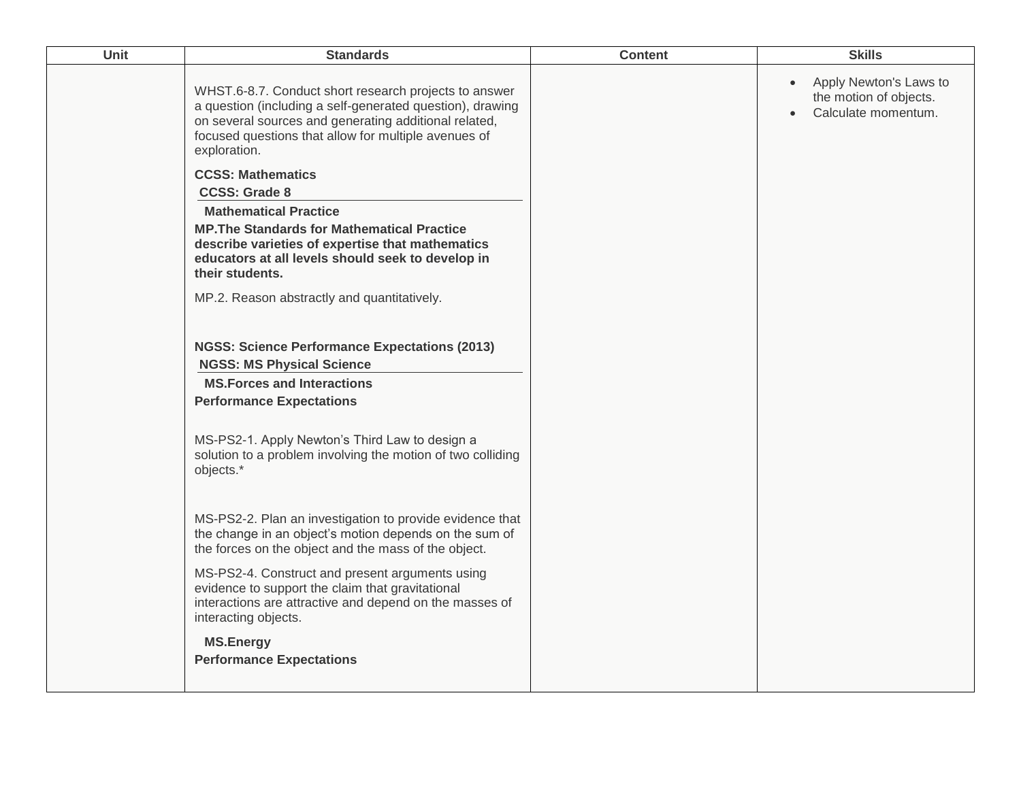| Unit | <b>Standards</b>                                                                                                                                                                                                                                    | <b>Content</b> | <b>Skills</b>                                                                        |
|------|-----------------------------------------------------------------------------------------------------------------------------------------------------------------------------------------------------------------------------------------------------|----------------|--------------------------------------------------------------------------------------|
|      | WHST.6-8.7. Conduct short research projects to answer<br>a question (including a self-generated question), drawing<br>on several sources and generating additional related,<br>focused questions that allow for multiple avenues of<br>exploration. |                | Apply Newton's Laws to<br>$\bullet$<br>the motion of objects.<br>Calculate momentum. |
|      | <b>CCSS: Mathematics</b><br><b>CCSS: Grade 8</b><br><b>Mathematical Practice</b><br><b>MP. The Standards for Mathematical Practice</b><br>describe varieties of expertise that mathematics<br>educators at all levels should seek to develop in     |                |                                                                                      |
|      | their students.<br>MP.2. Reason abstractly and quantitatively.                                                                                                                                                                                      |                |                                                                                      |
|      | <b>NGSS: Science Performance Expectations (2013)</b><br><b>NGSS: MS Physical Science</b><br><b>MS.Forces and Interactions</b><br><b>Performance Expectations</b>                                                                                    |                |                                                                                      |
|      | MS-PS2-1. Apply Newton's Third Law to design a<br>solution to a problem involving the motion of two colliding<br>objects.*                                                                                                                          |                |                                                                                      |
|      | MS-PS2-2. Plan an investigation to provide evidence that<br>the change in an object's motion depends on the sum of<br>the forces on the object and the mass of the object.                                                                          |                |                                                                                      |
|      | MS-PS2-4. Construct and present arguments using<br>evidence to support the claim that gravitational<br>interactions are attractive and depend on the masses of<br>interacting objects.                                                              |                |                                                                                      |
|      | <b>MS.Energy</b><br><b>Performance Expectations</b>                                                                                                                                                                                                 |                |                                                                                      |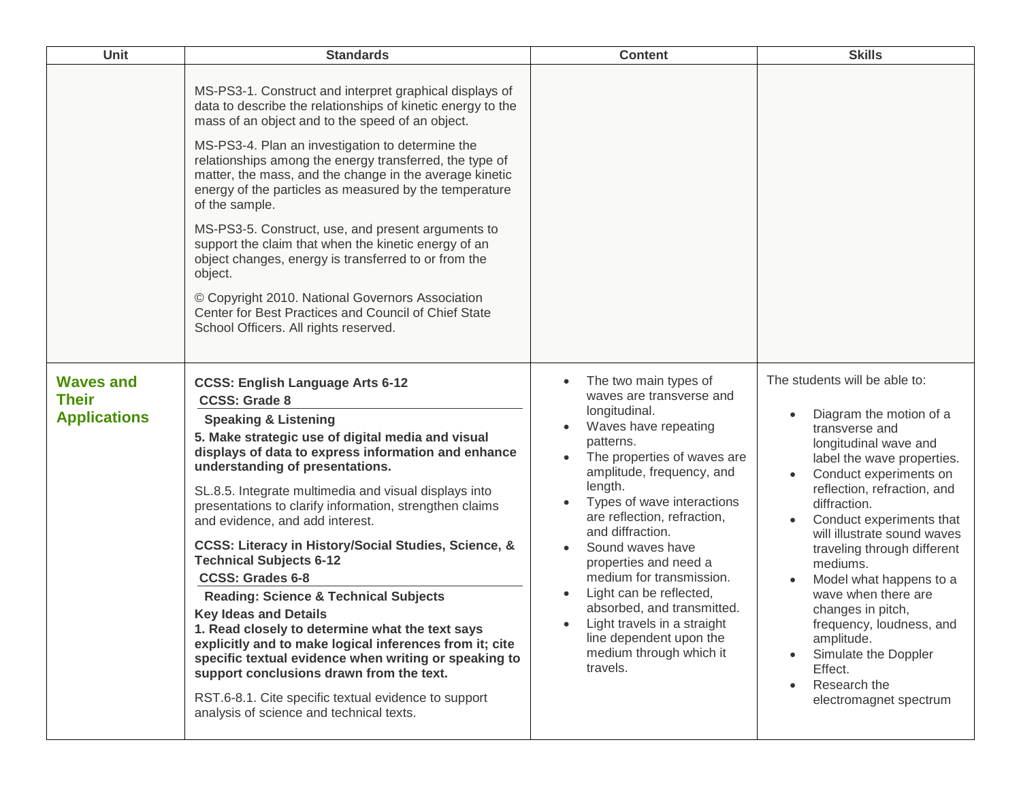| Unit                                                    | <b>Standards</b>                                                                                                                                                                                                                                                                                                                                                                                                                                                                                                                                                                                                                                                                                                                                                                                                                                                                                                                         | <b>Content</b>                                                                                                                                                                                                                                                                                                                                                                                                                                                                                     | <b>Skills</b>                                                                                                                                                                                                                                                                                                                                                                                                                                                                                                               |
|---------------------------------------------------------|------------------------------------------------------------------------------------------------------------------------------------------------------------------------------------------------------------------------------------------------------------------------------------------------------------------------------------------------------------------------------------------------------------------------------------------------------------------------------------------------------------------------------------------------------------------------------------------------------------------------------------------------------------------------------------------------------------------------------------------------------------------------------------------------------------------------------------------------------------------------------------------------------------------------------------------|----------------------------------------------------------------------------------------------------------------------------------------------------------------------------------------------------------------------------------------------------------------------------------------------------------------------------------------------------------------------------------------------------------------------------------------------------------------------------------------------------|-----------------------------------------------------------------------------------------------------------------------------------------------------------------------------------------------------------------------------------------------------------------------------------------------------------------------------------------------------------------------------------------------------------------------------------------------------------------------------------------------------------------------------|
|                                                         | MS-PS3-1. Construct and interpret graphical displays of<br>data to describe the relationships of kinetic energy to the<br>mass of an object and to the speed of an object.<br>MS-PS3-4. Plan an investigation to determine the<br>relationships among the energy transferred, the type of<br>matter, the mass, and the change in the average kinetic<br>energy of the particles as measured by the temperature<br>of the sample.<br>MS-PS3-5. Construct, use, and present arguments to<br>support the claim that when the kinetic energy of an<br>object changes, energy is transferred to or from the<br>object.<br>© Copyright 2010. National Governors Association<br>Center for Best Practices and Council of Chief State<br>School Officers. All rights reserved.                                                                                                                                                                   |                                                                                                                                                                                                                                                                                                                                                                                                                                                                                                    |                                                                                                                                                                                                                                                                                                                                                                                                                                                                                                                             |
| <b>Waves and</b><br><b>Their</b><br><b>Applications</b> | <b>CCSS: English Language Arts 6-12</b><br><b>CCSS: Grade 8</b><br><b>Speaking &amp; Listening</b><br>5. Make strategic use of digital media and visual<br>displays of data to express information and enhance<br>understanding of presentations.<br>SL.8.5. Integrate multimedia and visual displays into<br>presentations to clarify information, strengthen claims<br>and evidence, and add interest.<br>CCSS: Literacy in History/Social Studies, Science, &<br><b>Technical Subjects 6-12</b><br><b>CCSS: Grades 6-8</b><br><b>Reading: Science &amp; Technical Subjects</b><br><b>Key Ideas and Details</b><br>1. Read closely to determine what the text says<br>explicitly and to make logical inferences from it; cite<br>specific textual evidence when writing or speaking to<br>support conclusions drawn from the text.<br>RST.6-8.1. Cite specific textual evidence to support<br>analysis of science and technical texts. | The two main types of<br>waves are transverse and<br>longitudinal.<br>Waves have repeating<br>patterns.<br>The properties of waves are<br>amplitude, frequency, and<br>length.<br>Types of wave interactions<br>are reflection, refraction,<br>and diffraction.<br>Sound waves have<br>properties and need a<br>medium for transmission.<br>Light can be reflected,<br>absorbed, and transmitted.<br>Light travels in a straight<br>line dependent upon the<br>medium through which it<br>travels. | The students will be able to:<br>Diagram the motion of a<br>transverse and<br>longitudinal wave and<br>label the wave properties.<br>Conduct experiments on<br>reflection, refraction, and<br>diffraction.<br>Conduct experiments that<br>will illustrate sound waves<br>traveling through different<br>mediums.<br>Model what happens to a<br>wave when there are<br>changes in pitch,<br>frequency, loudness, and<br>amplitude.<br>Simulate the Doppler<br>Effect.<br>Research the<br>$\bullet$<br>electromagnet spectrum |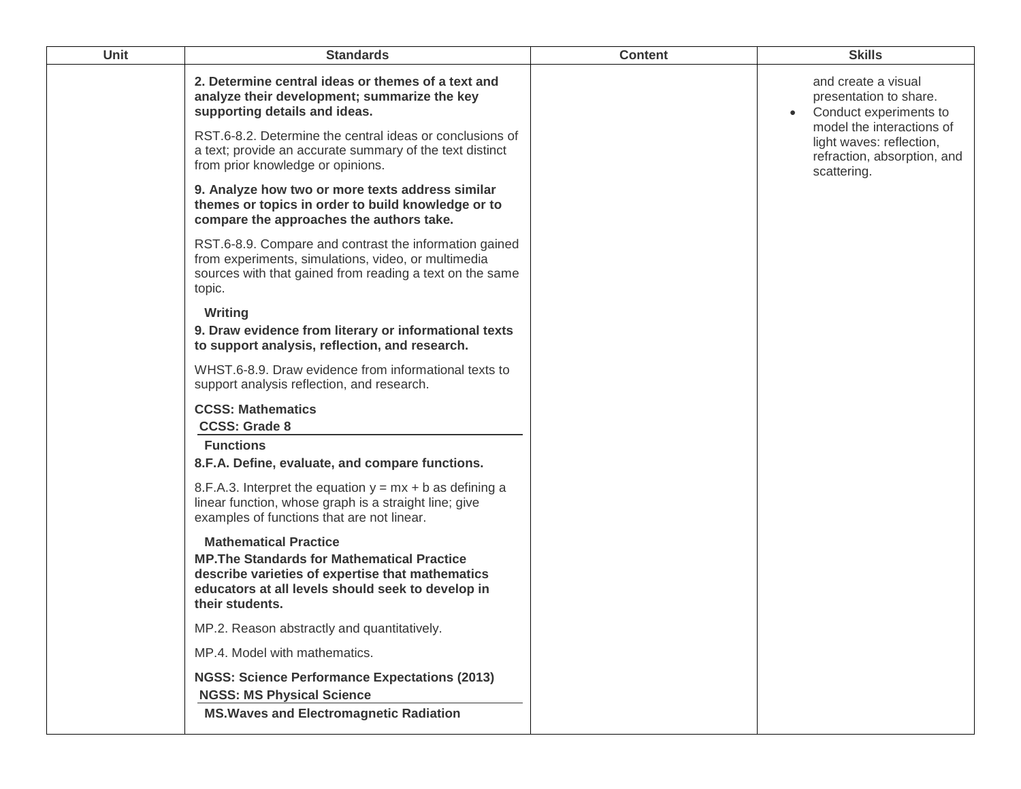| <b>Unit</b> | <b>Standards</b>                                                                                                                                                                                                                                            | <b>Content</b> | <b>Skills</b>                                                                                                                                                   |
|-------------|-------------------------------------------------------------------------------------------------------------------------------------------------------------------------------------------------------------------------------------------------------------|----------------|-----------------------------------------------------------------------------------------------------------------------------------------------------------------|
|             | 2. Determine central ideas or themes of a text and<br>analyze their development; summarize the key<br>supporting details and ideas.<br>RST.6-8.2. Determine the central ideas or conclusions of<br>a text; provide an accurate summary of the text distinct |                | and create a visual<br>presentation to share.<br>Conduct experiments to<br>model the interactions of<br>light waves: reflection,<br>refraction, absorption, and |
|             | from prior knowledge or opinions.<br>9. Analyze how two or more texts address similar<br>themes or topics in order to build knowledge or to<br>compare the approaches the authors take.                                                                     |                | scattering.                                                                                                                                                     |
|             | RST.6-8.9. Compare and contrast the information gained<br>from experiments, simulations, video, or multimedia<br>sources with that gained from reading a text on the same<br>topic.                                                                         |                |                                                                                                                                                                 |
|             | Writing<br>9. Draw evidence from literary or informational texts<br>to support analysis, reflection, and research.                                                                                                                                          |                |                                                                                                                                                                 |
|             | WHST.6-8.9. Draw evidence from informational texts to<br>support analysis reflection, and research.                                                                                                                                                         |                |                                                                                                                                                                 |
|             | <b>CCSS: Mathematics</b><br><b>CCSS: Grade 8</b>                                                                                                                                                                                                            |                |                                                                                                                                                                 |
|             | <b>Functions</b>                                                                                                                                                                                                                                            |                |                                                                                                                                                                 |
|             | 8.F.A. Define, evaluate, and compare functions.                                                                                                                                                                                                             |                |                                                                                                                                                                 |
|             | 8.F.A.3. Interpret the equation $y = mx + b$ as defining a<br>linear function, whose graph is a straight line; give<br>examples of functions that are not linear.                                                                                           |                |                                                                                                                                                                 |
|             | <b>Mathematical Practice</b><br><b>MP. The Standards for Mathematical Practice</b><br>describe varieties of expertise that mathematics<br>educators at all levels should seek to develop in<br>their students.                                              |                |                                                                                                                                                                 |
|             | MP.2. Reason abstractly and quantitatively.                                                                                                                                                                                                                 |                |                                                                                                                                                                 |
|             | MP.4. Model with mathematics.                                                                                                                                                                                                                               |                |                                                                                                                                                                 |
|             | <b>NGSS: Science Performance Expectations (2013)</b><br><b>NGSS: MS Physical Science</b><br><b>MS. Waves and Electromagnetic Radiation</b>                                                                                                                  |                |                                                                                                                                                                 |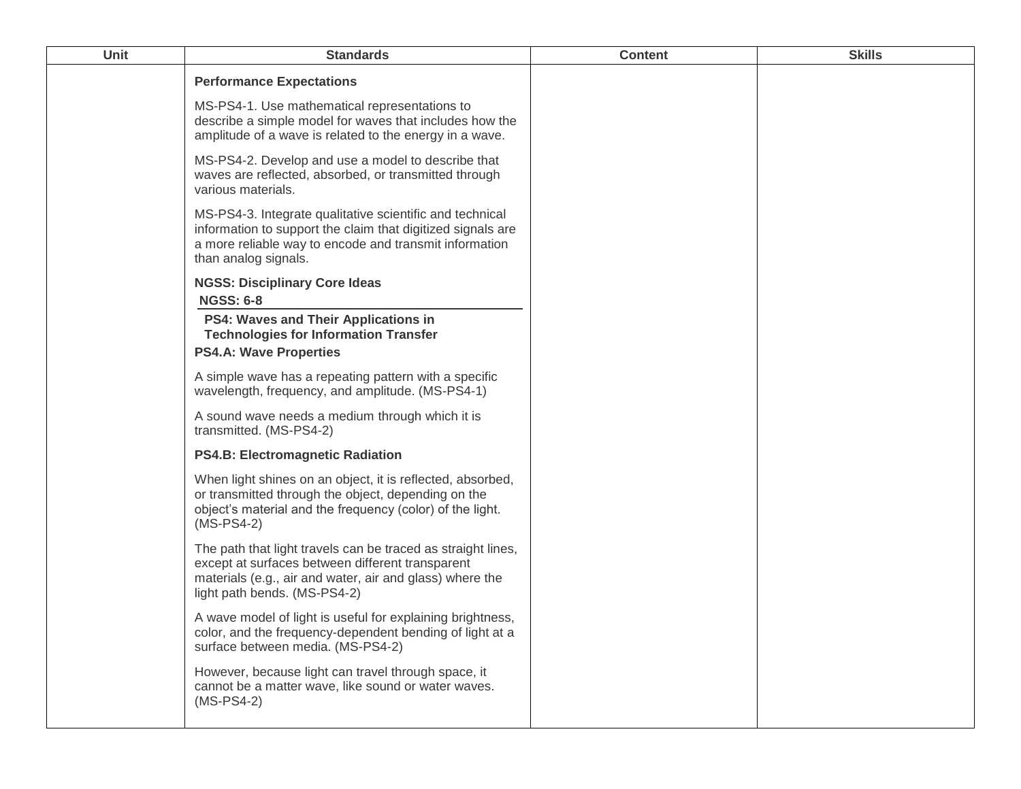| Unit | <b>Standards</b>                                                                                                                                                                                             | <b>Content</b> | <b>Skills</b> |
|------|--------------------------------------------------------------------------------------------------------------------------------------------------------------------------------------------------------------|----------------|---------------|
|      | <b>Performance Expectations</b>                                                                                                                                                                              |                |               |
|      | MS-PS4-1. Use mathematical representations to<br>describe a simple model for waves that includes how the<br>amplitude of a wave is related to the energy in a wave.                                          |                |               |
|      | MS-PS4-2. Develop and use a model to describe that<br>waves are reflected, absorbed, or transmitted through<br>various materials.                                                                            |                |               |
|      | MS-PS4-3. Integrate qualitative scientific and technical<br>information to support the claim that digitized signals are<br>a more reliable way to encode and transmit information<br>than analog signals.    |                |               |
|      | <b>NGSS: Disciplinary Core Ideas</b><br><b>NGSS: 6-8</b>                                                                                                                                                     |                |               |
|      | PS4: Waves and Their Applications in<br><b>Technologies for Information Transfer</b>                                                                                                                         |                |               |
|      | <b>PS4.A: Wave Properties</b>                                                                                                                                                                                |                |               |
|      | A simple wave has a repeating pattern with a specific<br>wavelength, frequency, and amplitude. (MS-PS4-1)                                                                                                    |                |               |
|      | A sound wave needs a medium through which it is<br>transmitted. (MS-PS4-2)                                                                                                                                   |                |               |
|      | <b>PS4.B: Electromagnetic Radiation</b>                                                                                                                                                                      |                |               |
|      | When light shines on an object, it is reflected, absorbed,<br>or transmitted through the object, depending on the<br>object's material and the frequency (color) of the light.<br>$(MS-PS4-2)$               |                |               |
|      | The path that light travels can be traced as straight lines,<br>except at surfaces between different transparent<br>materials (e.g., air and water, air and glass) where the<br>light path bends. (MS-PS4-2) |                |               |
|      | A wave model of light is useful for explaining brightness,<br>color, and the frequency-dependent bending of light at a<br>surface between media. (MS-PS4-2)                                                  |                |               |
|      | However, because light can travel through space, it<br>cannot be a matter wave, like sound or water waves.<br>$(MS-PS4-2)$                                                                                   |                |               |
|      |                                                                                                                                                                                                              |                |               |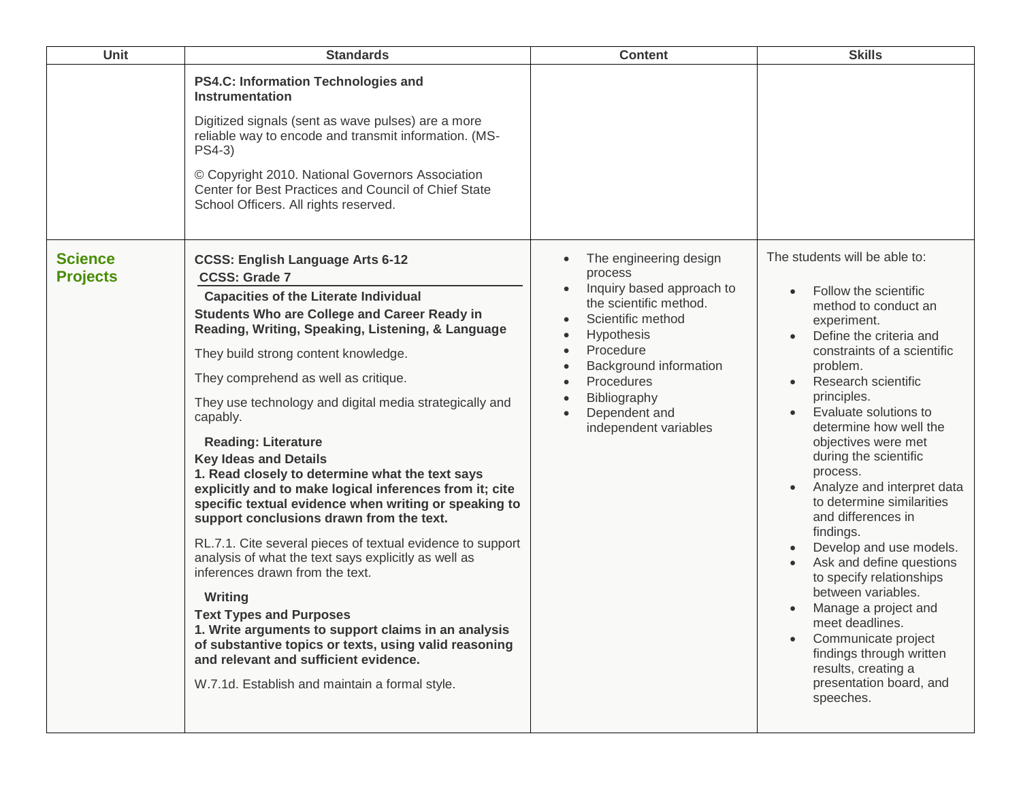| Unit                              | <b>Standards</b>                                                                                                                                                                                                                                                                                                                                                                                                                                                                                                                                                                                                                                                                                                                                                                                                                                                                                                                                                                                                                                                                            | <b>Content</b>                                                                                                                                                                                                                                                 | <b>Skills</b>                                                                                                                                                                                                                                                                                                                                                                                                                                                                                                                                                                                                                                                                                             |
|-----------------------------------|---------------------------------------------------------------------------------------------------------------------------------------------------------------------------------------------------------------------------------------------------------------------------------------------------------------------------------------------------------------------------------------------------------------------------------------------------------------------------------------------------------------------------------------------------------------------------------------------------------------------------------------------------------------------------------------------------------------------------------------------------------------------------------------------------------------------------------------------------------------------------------------------------------------------------------------------------------------------------------------------------------------------------------------------------------------------------------------------|----------------------------------------------------------------------------------------------------------------------------------------------------------------------------------------------------------------------------------------------------------------|-----------------------------------------------------------------------------------------------------------------------------------------------------------------------------------------------------------------------------------------------------------------------------------------------------------------------------------------------------------------------------------------------------------------------------------------------------------------------------------------------------------------------------------------------------------------------------------------------------------------------------------------------------------------------------------------------------------|
|                                   | <b>PS4.C: Information Technologies and</b><br>Instrumentation<br>Digitized signals (sent as wave pulses) are a more<br>reliable way to encode and transmit information. (MS-<br>PS4-3)<br>© Copyright 2010. National Governors Association<br>Center for Best Practices and Council of Chief State<br>School Officers. All rights reserved.                                                                                                                                                                                                                                                                                                                                                                                                                                                                                                                                                                                                                                                                                                                                                 |                                                                                                                                                                                                                                                                |                                                                                                                                                                                                                                                                                                                                                                                                                                                                                                                                                                                                                                                                                                           |
| <b>Science</b><br><b>Projects</b> | <b>CCSS: English Language Arts 6-12</b><br><b>CCSS: Grade 7</b><br><b>Capacities of the Literate Individual</b><br><b>Students Who are College and Career Ready in</b><br>Reading, Writing, Speaking, Listening, & Language<br>They build strong content knowledge.<br>They comprehend as well as critique.<br>They use technology and digital media strategically and<br>capably.<br><b>Reading: Literature</b><br><b>Key Ideas and Details</b><br>1. Read closely to determine what the text says<br>explicitly and to make logical inferences from it; cite<br>specific textual evidence when writing or speaking to<br>support conclusions drawn from the text.<br>RL.7.1. Cite several pieces of textual evidence to support<br>analysis of what the text says explicitly as well as<br>inferences drawn from the text.<br><b>Writing</b><br><b>Text Types and Purposes</b><br>1. Write arguments to support claims in an analysis<br>of substantive topics or texts, using valid reasoning<br>and relevant and sufficient evidence.<br>W.7.1d. Establish and maintain a formal style. | The engineering design<br>process<br>Inquiry based approach to<br>the scientific method.<br>Scientific method<br>Hypothesis<br>Procedure<br>Background information<br><b>Procedures</b><br>Bibliography<br>Dependent and<br>$\bullet$<br>independent variables | The students will be able to:<br>Follow the scientific<br>method to conduct an<br>experiment.<br>Define the criteria and<br>constraints of a scientific<br>problem.<br>Research scientific<br>principles.<br>Evaluate solutions to<br>$\bullet$<br>determine how well the<br>objectives were met<br>during the scientific<br>process.<br>Analyze and interpret data<br>to determine similarities<br>and differences in<br>findings.<br>Develop and use models.<br>Ask and define questions<br>to specify relationships<br>between variables.<br>Manage a project and<br>meet deadlines.<br>Communicate project<br>findings through written<br>results, creating a<br>presentation board, and<br>speeches. |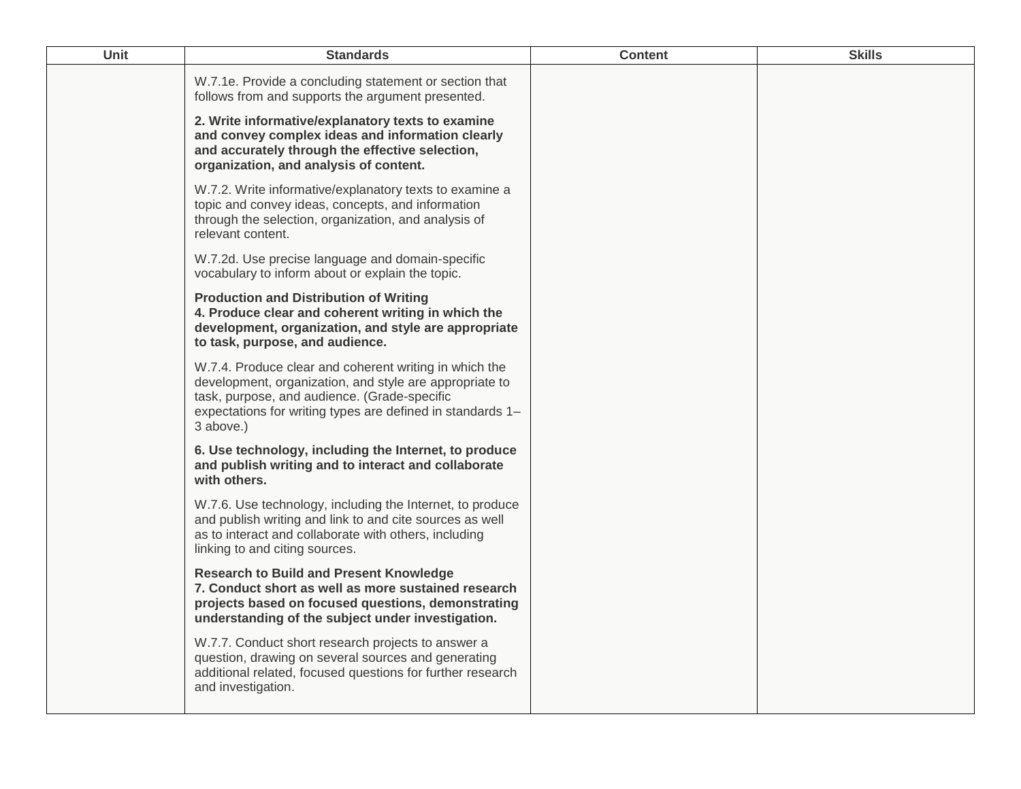| Unit | <b>Standards</b>                                                                                                                                                                                                                             | <b>Content</b> | <b>Skills</b> |
|------|----------------------------------------------------------------------------------------------------------------------------------------------------------------------------------------------------------------------------------------------|----------------|---------------|
|      | W.7.1e. Provide a concluding statement or section that<br>follows from and supports the argument presented.                                                                                                                                  |                |               |
|      | 2. Write informative/explanatory texts to examine<br>and convey complex ideas and information clearly<br>and accurately through the effective selection,<br>organization, and analysis of content.                                           |                |               |
|      | W.7.2. Write informative/explanatory texts to examine a<br>topic and convey ideas, concepts, and information<br>through the selection, organization, and analysis of<br>relevant content.                                                    |                |               |
|      | W.7.2d. Use precise language and domain-specific<br>vocabulary to inform about or explain the topic.                                                                                                                                         |                |               |
|      | <b>Production and Distribution of Writing</b><br>4. Produce clear and coherent writing in which the<br>development, organization, and style are appropriate<br>to task, purpose, and audience.                                               |                |               |
|      | W.7.4. Produce clear and coherent writing in which the<br>development, organization, and style are appropriate to<br>task, purpose, and audience. (Grade-specific<br>expectations for writing types are defined in standards 1-<br>3 above.) |                |               |
|      | 6. Use technology, including the Internet, to produce<br>and publish writing and to interact and collaborate<br>with others.                                                                                                                 |                |               |
|      | W.7.6. Use technology, including the Internet, to produce<br>and publish writing and link to and cite sources as well<br>as to interact and collaborate with others, including<br>linking to and citing sources.                             |                |               |
|      | <b>Research to Build and Present Knowledge</b><br>7. Conduct short as well as more sustained research<br>projects based on focused questions, demonstrating<br>understanding of the subject under investigation.                             |                |               |
|      | W.7.7. Conduct short research projects to answer a<br>question, drawing on several sources and generating<br>additional related, focused questions for further research<br>and investigation.                                                |                |               |
|      |                                                                                                                                                                                                                                              |                |               |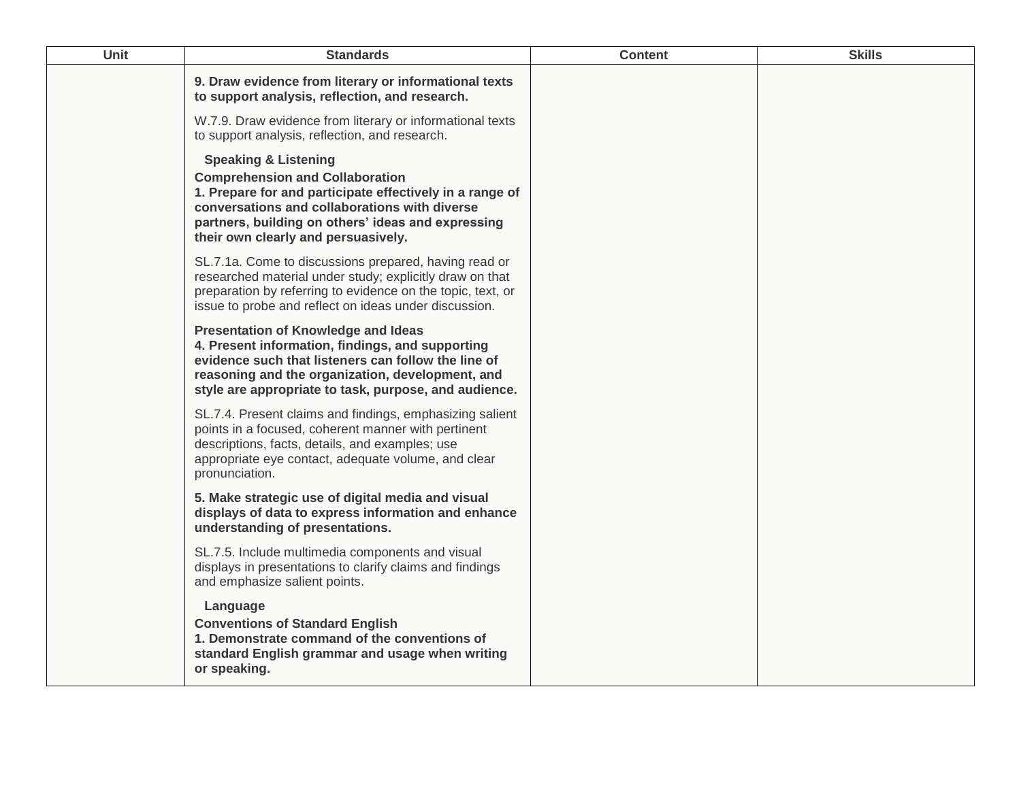| Unit | <b>Standards</b>                                                                                                                                                                                                                                                                    | <b>Content</b> | <b>Skills</b> |
|------|-------------------------------------------------------------------------------------------------------------------------------------------------------------------------------------------------------------------------------------------------------------------------------------|----------------|---------------|
|      | 9. Draw evidence from literary or informational texts<br>to support analysis, reflection, and research.                                                                                                                                                                             |                |               |
|      | W.7.9. Draw evidence from literary or informational texts<br>to support analysis, reflection, and research.                                                                                                                                                                         |                |               |
|      | <b>Speaking &amp; Listening</b><br><b>Comprehension and Collaboration</b><br>1. Prepare for and participate effectively in a range of<br>conversations and collaborations with diverse<br>partners, building on others' ideas and expressing<br>their own clearly and persuasively. |                |               |
|      | SL.7.1a. Come to discussions prepared, having read or<br>researched material under study; explicitly draw on that<br>preparation by referring to evidence on the topic, text, or<br>issue to probe and reflect on ideas under discussion.                                           |                |               |
|      | <b>Presentation of Knowledge and Ideas</b><br>4. Present information, findings, and supporting<br>evidence such that listeners can follow the line of<br>reasoning and the organization, development, and<br>style are appropriate to task, purpose, and audience.                  |                |               |
|      | SL.7.4. Present claims and findings, emphasizing salient<br>points in a focused, coherent manner with pertinent<br>descriptions, facts, details, and examples; use<br>appropriate eye contact, adequate volume, and clear<br>pronunciation.                                         |                |               |
|      | 5. Make strategic use of digital media and visual<br>displays of data to express information and enhance<br>understanding of presentations.                                                                                                                                         |                |               |
|      | SL.7.5. Include multimedia components and visual<br>displays in presentations to clarify claims and findings<br>and emphasize salient points.                                                                                                                                       |                |               |
|      | Language<br><b>Conventions of Standard English</b><br>1. Demonstrate command of the conventions of<br>standard English grammar and usage when writing<br>or speaking.                                                                                                               |                |               |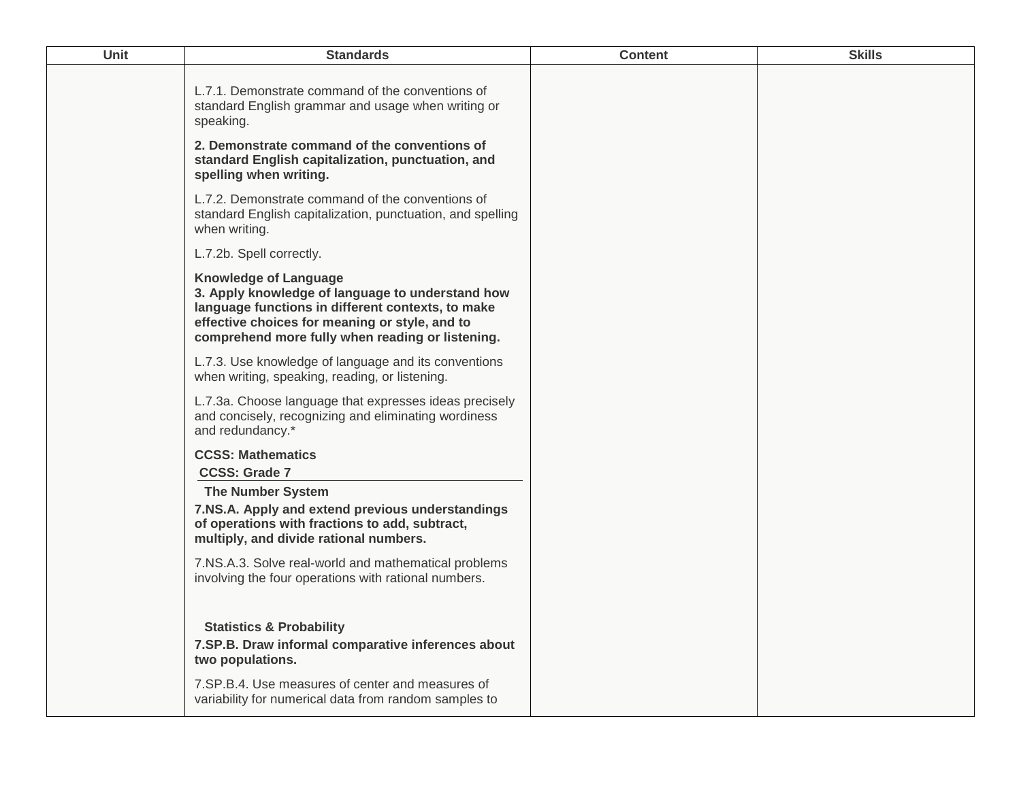| Unit | <b>Standards</b>                                                                                                                                                                                                                            | <b>Content</b> | <b>Skills</b> |
|------|---------------------------------------------------------------------------------------------------------------------------------------------------------------------------------------------------------------------------------------------|----------------|---------------|
|      | L.7.1. Demonstrate command of the conventions of<br>standard English grammar and usage when writing or<br>speaking.                                                                                                                         |                |               |
|      | 2. Demonstrate command of the conventions of<br>standard English capitalization, punctuation, and<br>spelling when writing.                                                                                                                 |                |               |
|      | L.7.2. Demonstrate command of the conventions of<br>standard English capitalization, punctuation, and spelling<br>when writing.                                                                                                             |                |               |
|      | L.7.2b. Spell correctly.                                                                                                                                                                                                                    |                |               |
|      | <b>Knowledge of Language</b><br>3. Apply knowledge of language to understand how<br>language functions in different contexts, to make<br>effective choices for meaning or style, and to<br>comprehend more fully when reading or listening. |                |               |
|      | L.7.3. Use knowledge of language and its conventions<br>when writing, speaking, reading, or listening.                                                                                                                                      |                |               |
|      | L.7.3a. Choose language that expresses ideas precisely<br>and concisely, recognizing and eliminating wordiness<br>and redundancy.*                                                                                                          |                |               |
|      | <b>CCSS: Mathematics</b><br><b>CCSS: Grade 7</b>                                                                                                                                                                                            |                |               |
|      | <b>The Number System</b><br>7.NS.A. Apply and extend previous understandings<br>of operations with fractions to add, subtract,<br>multiply, and divide rational numbers.                                                                    |                |               |
|      | 7.NS.A.3. Solve real-world and mathematical problems<br>involving the four operations with rational numbers.                                                                                                                                |                |               |
|      | <b>Statistics &amp; Probability</b><br>7.SP.B. Draw informal comparative inferences about<br>two populations.                                                                                                                               |                |               |
|      | 7.SP.B.4. Use measures of center and measures of<br>variability for numerical data from random samples to                                                                                                                                   |                |               |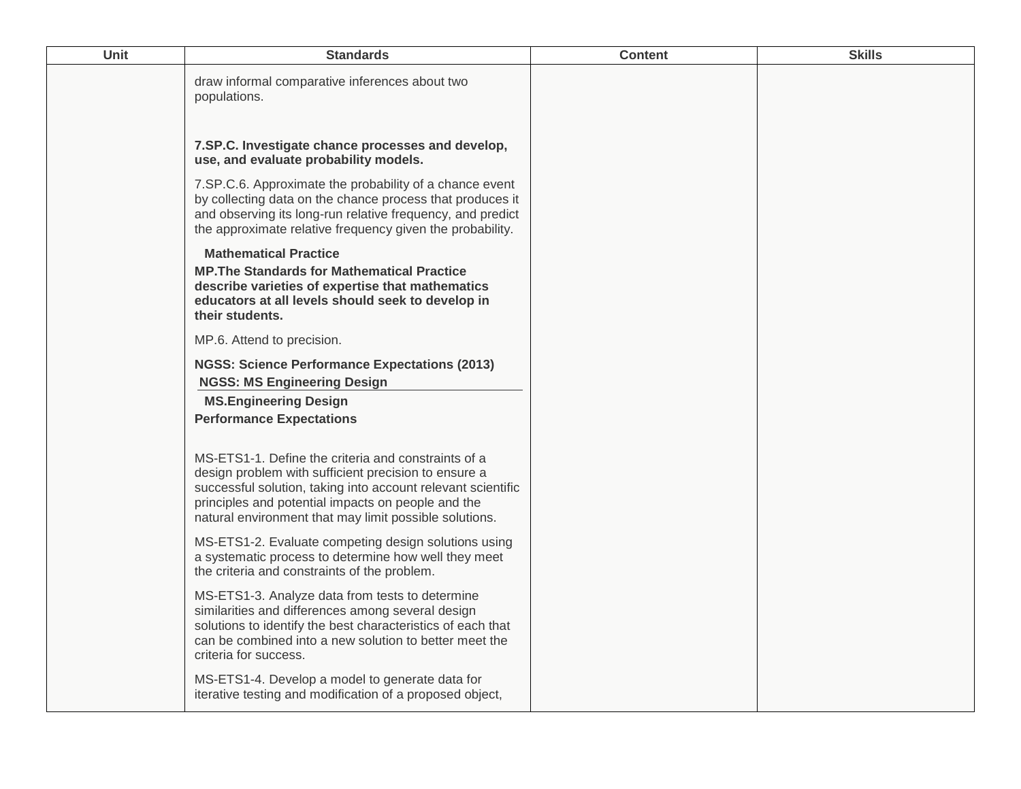| Unit | <b>Standards</b>                                                                                                                                                                                                                                                                            | <b>Content</b> | <b>Skills</b> |
|------|---------------------------------------------------------------------------------------------------------------------------------------------------------------------------------------------------------------------------------------------------------------------------------------------|----------------|---------------|
|      | draw informal comparative inferences about two<br>populations.                                                                                                                                                                                                                              |                |               |
|      | 7.SP.C. Investigate chance processes and develop,<br>use, and evaluate probability models.                                                                                                                                                                                                  |                |               |
|      | 7.SP.C.6. Approximate the probability of a chance event<br>by collecting data on the chance process that produces it<br>and observing its long-run relative frequency, and predict<br>the approximate relative frequency given the probability.                                             |                |               |
|      | <b>Mathematical Practice</b><br><b>MP. The Standards for Mathematical Practice</b><br>describe varieties of expertise that mathematics<br>educators at all levels should seek to develop in<br>their students.                                                                              |                |               |
|      | MP.6. Attend to precision.                                                                                                                                                                                                                                                                  |                |               |
|      | <b>NGSS: Science Performance Expectations (2013)</b><br><b>NGSS: MS Engineering Design</b>                                                                                                                                                                                                  |                |               |
|      | <b>MS.Engineering Design</b><br><b>Performance Expectations</b>                                                                                                                                                                                                                             |                |               |
|      | MS-ETS1-1. Define the criteria and constraints of a<br>design problem with sufficient precision to ensure a<br>successful solution, taking into account relevant scientific<br>principles and potential impacts on people and the<br>natural environment that may limit possible solutions. |                |               |
|      | MS-ETS1-2. Evaluate competing design solutions using<br>a systematic process to determine how well they meet<br>the criteria and constraints of the problem.                                                                                                                                |                |               |
|      | MS-ETS1-3. Analyze data from tests to determine<br>similarities and differences among several design<br>solutions to identify the best characteristics of each that<br>can be combined into a new solution to better meet the<br>criteria for success.                                      |                |               |
|      | MS-ETS1-4. Develop a model to generate data for<br>iterative testing and modification of a proposed object,                                                                                                                                                                                 |                |               |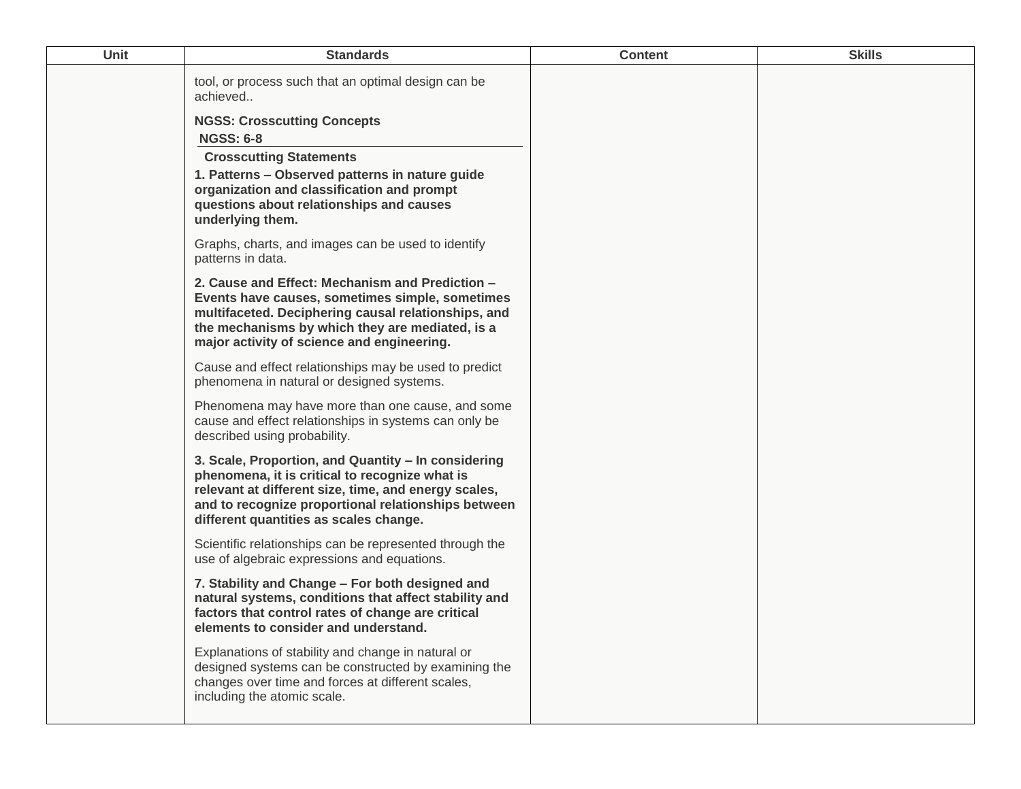| <b>Unit</b> | <b>Standards</b>                                                                                                                                                                                                                                               | <b>Content</b> | <b>Skills</b> |
|-------------|----------------------------------------------------------------------------------------------------------------------------------------------------------------------------------------------------------------------------------------------------------------|----------------|---------------|
|             | tool, or process such that an optimal design can be<br>achieved<br><b>NGSS: Crosscutting Concepts</b>                                                                                                                                                          |                |               |
|             | <b>NGSS: 6-8</b>                                                                                                                                                                                                                                               |                |               |
|             | <b>Crosscutting Statements</b><br>1. Patterns - Observed patterns in nature guide<br>organization and classification and prompt<br>questions about relationships and causes<br>underlying them.                                                                |                |               |
|             | Graphs, charts, and images can be used to identify<br>patterns in data.                                                                                                                                                                                        |                |               |
|             | 2. Cause and Effect: Mechanism and Prediction -<br>Events have causes, sometimes simple, sometimes<br>multifaceted. Deciphering causal relationships, and<br>the mechanisms by which they are mediated, is a<br>major activity of science and engineering.     |                |               |
|             | Cause and effect relationships may be used to predict<br>phenomena in natural or designed systems.                                                                                                                                                             |                |               |
|             | Phenomena may have more than one cause, and some<br>cause and effect relationships in systems can only be<br>described using probability.                                                                                                                      |                |               |
|             | 3. Scale, Proportion, and Quantity - In considering<br>phenomena, it is critical to recognize what is<br>relevant at different size, time, and energy scales,<br>and to recognize proportional relationships between<br>different quantities as scales change. |                |               |
|             | Scientific relationships can be represented through the<br>use of algebraic expressions and equations.                                                                                                                                                         |                |               |
|             | 7. Stability and Change - For both designed and<br>natural systems, conditions that affect stability and<br>factors that control rates of change are critical<br>elements to consider and understand.                                                          |                |               |
|             | Explanations of stability and change in natural or<br>designed systems can be constructed by examining the<br>changes over time and forces at different scales,<br>including the atomic scale.                                                                 |                |               |
|             |                                                                                                                                                                                                                                                                |                |               |